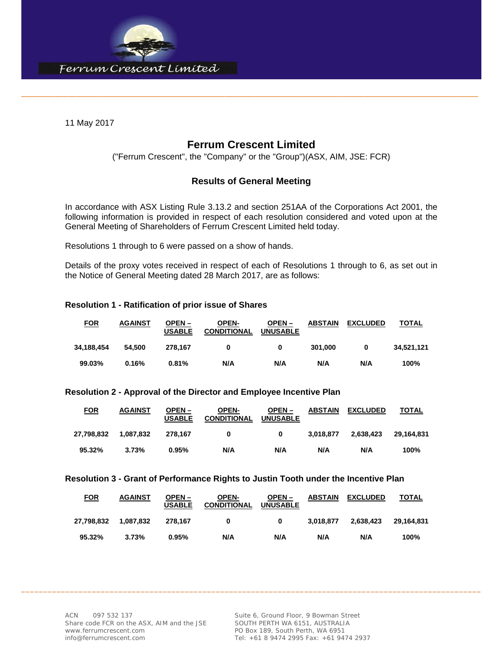

11 May 2017

# **Ferrum Crescent Limited**

\_\_\_\_\_\_\_\_\_\_\_\_\_\_\_\_\_\_\_\_\_\_\_\_\_\_\_\_\_\_\_\_\_\_\_\_\_\_\_\_\_\_\_\_\_\_\_\_\_\_\_\_\_\_\_\_\_\_\_\_\_\_\_\_\_\_\_\_\_\_\_\_\_\_\_\_\_\_\_\_\_\_\_\_\_\_\_\_\_\_\_\_\_\_\_\_\_\_\_\_\_\_\_\_\_\_\_\_

("Ferrum Crescent", the "Company" or the "Group")(ASX, AIM, JSE: FCR)

## **Results of General Meeting**

In accordance with ASX Listing Rule 3.13.2 and section 251AA of the Corporations Act 2001, the following information is provided in respect of each resolution considered and voted upon at the General Meeting of Shareholders of Ferrum Crescent Limited held today.

Resolutions 1 through to 6 were passed on a show of hands.

Details of the proxy votes received in respect of each of Resolutions 1 through to 6, as set out in the Notice of General Meeting dated 28 March 2017, are as follows:

### **Resolution 1 - Ratification of prior issue of Shares**

| <u>FOR</u> | <b>AGAINST</b> | OPEN –<br><b>USABLE</b> | <b>OPEN-</b><br><b>CONDITIONAL</b> | $OPEN -$<br><b>UNUSABLE</b> | <b>ABSTAIN</b> | <b>EXCLUDED</b> | <b>TOTAL</b> |
|------------|----------------|-------------------------|------------------------------------|-----------------------------|----------------|-----------------|--------------|
| 34,188,454 | 54.500         | 278.167                 | 0                                  | 0                           | 301.000        | 0               | 34,521,121   |
| 99.03%     | 0.16%          | 0.81%                   | N/A                                | N/A                         | N/A            | N/A             | 100%         |

#### **Resolution 2 - Approval of the Director and Employee Incentive Plan**

| <u>FOR</u> | <b>AGAINST</b> | OPEN –<br><b>USABLE</b> | <b>OPEN-</b><br><b>CONDITIONAL</b> | $OPEN -$<br><b>UNUSABLE</b> | <b>ABSTAIN</b> | <b>EXCLUDED</b> | <b>TOTAL</b> |
|------------|----------------|-------------------------|------------------------------------|-----------------------------|----------------|-----------------|--------------|
| 27.798.832 | 1.087.832      | 278.167                 | 0                                  | 0                           | 3.018.877      | 2.638.423       | 29.164.831   |
| 95.32%     | 3.73%          | 0.95%                   | N/A                                | N/A                         | N/A            | N/A             | 100%         |

#### **Resolution 3 - Grant of Performance Rights to Justin Tooth under the Incentive Plan**

| <b>FOR</b> | <b>AGAINST</b> | OPEN –<br><b>USABLE</b> | <b>OPEN-</b><br><b>CONDITIONAL</b> | $OPEN -$<br><b>UNUSABLE</b> | <b>ABSTAIN</b> | <b>EXCLUDED</b> | TOTAL      |
|------------|----------------|-------------------------|------------------------------------|-----------------------------|----------------|-----------------|------------|
| 27.798.832 | 1.087.832      | 278.167                 | 0                                  | 0                           | 3.018.877      | 2.638.423       | 29.164.831 |
| 95.32%     | 3.73%          | 0.95%                   | N/A                                | N/A                         | N/A            | N/A             | 100%       |

\_\_\_\_\_\_\_\_\_\_\_\_\_\_\_\_\_\_\_\_\_\_\_\_\_\_\_\_\_\_\_\_\_\_\_\_\_\_\_\_\_\_\_\_\_\_\_\_\_\_\_\_\_\_\_\_\_\_\_\_\_\_\_\_\_\_\_\_\_\_\_\_\_\_\_\_\_\_\_\_\_\_\_\_\_\_\_\_\_\_\_\_\_\_\_\_\_\_\_\_\_\_\_\_